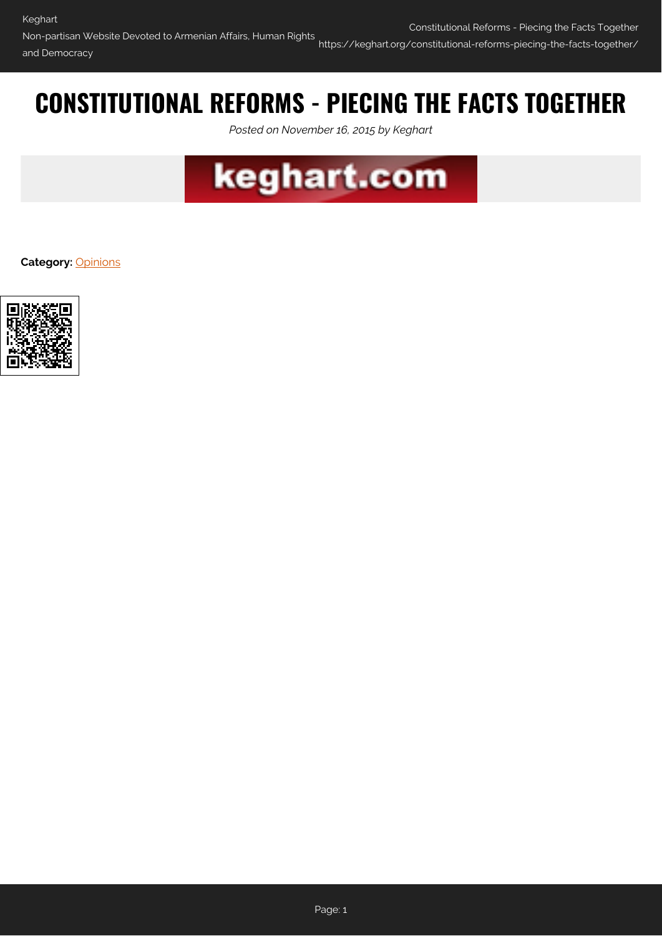# **CONSTITUTIONAL REFORMS - PIECING THE FACTS TOGETHER**

*Posted on November 16, 2015 by Keghart*



**Category:** [Opinions](https://keghart.org/category/opinions/)

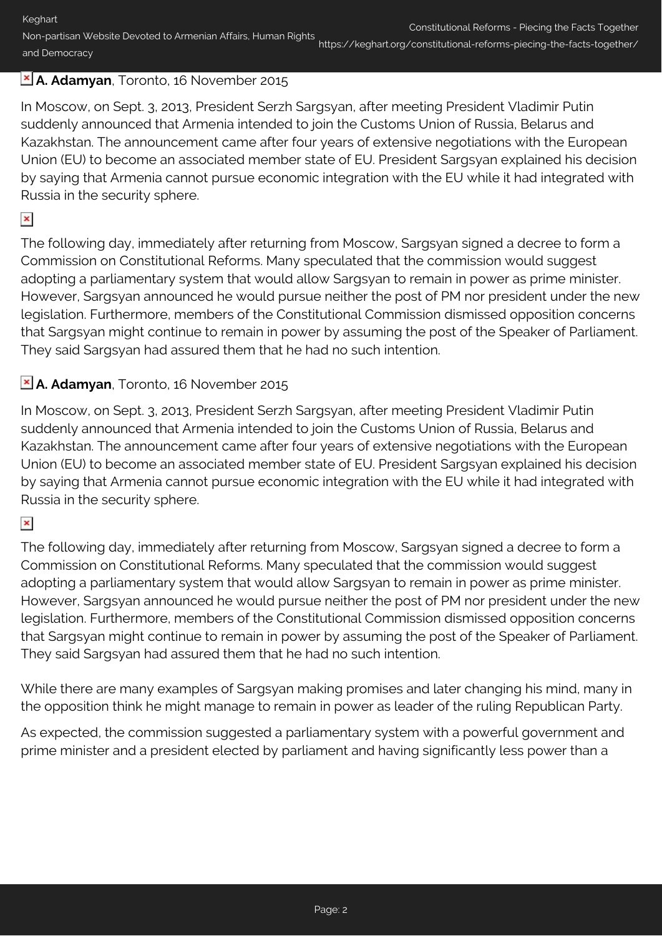Keghart Non-partisan Website Devoted to Armenian Affairs, Human Rights and Democracy Constitutional Reforms - Piecing the Facts Together https://keghart.org/constitutional-reforms-piecing-the-facts-together/

## **A. Adamyan**, Toronto, 16 November 2015

In Moscow, on Sept. 3, 2013, President Serzh Sargsyan, after meeting President Vladimir Putin suddenly announced that Armenia intended to join the Customs Union of Russia, Belarus and Kazakhstan. The announcement came after four years of extensive negotiations with the European Union (EU) to become an associated member state of EU. President Sargsyan explained his decision by saying that Armenia cannot pursue economic integration with the EU while it had integrated with Russia in the security sphere.

#### $\pmb{\times}$

The following day, immediately after returning from Moscow, Sargsyan signed a decree to form a Commission on Constitutional Reforms. Many speculated that the commission would suggest adopting a parliamentary system that would allow Sargsyan to remain in power as prime minister. However, Sargsyan announced he would pursue neither the post of PM nor president under the new legislation. Furthermore, members of the Constitutional Commission dismissed opposition concerns that Sargsyan might continue to remain in power by assuming the post of the Speaker of Parliament. They said Sargsyan had assured them that he had no such intention.

# **A. Adamyan**, Toronto, 16 November 2015

In Moscow, on Sept. 3, 2013, President Serzh Sargsyan, after meeting President Vladimir Putin suddenly announced that Armenia intended to join the Customs Union of Russia, Belarus and Kazakhstan. The announcement came after four years of extensive negotiations with the European Union (EU) to become an associated member state of EU. President Sargsyan explained his decision by saying that Armenia cannot pursue economic integration with the EU while it had integrated with Russia in the security sphere.

## $\pmb{\times}$

The following day, immediately after returning from Moscow, Sargsyan signed a decree to form a Commission on Constitutional Reforms. Many speculated that the commission would suggest adopting a parliamentary system that would allow Sargsyan to remain in power as prime minister. However, Sargsyan announced he would pursue neither the post of PM nor president under the new legislation. Furthermore, members of the Constitutional Commission dismissed opposition concerns that Sargsyan might continue to remain in power by assuming the post of the Speaker of Parliament. They said Sargsyan had assured them that he had no such intention.

While there are many examples of Sargsyan making promises and later changing his mind, many in the opposition think he might manage to remain in power as leader of the ruling Republican Party.

As expected, the commission suggested a parliamentary system with a powerful government and prime minister and a president elected by parliament and having significantly less power than a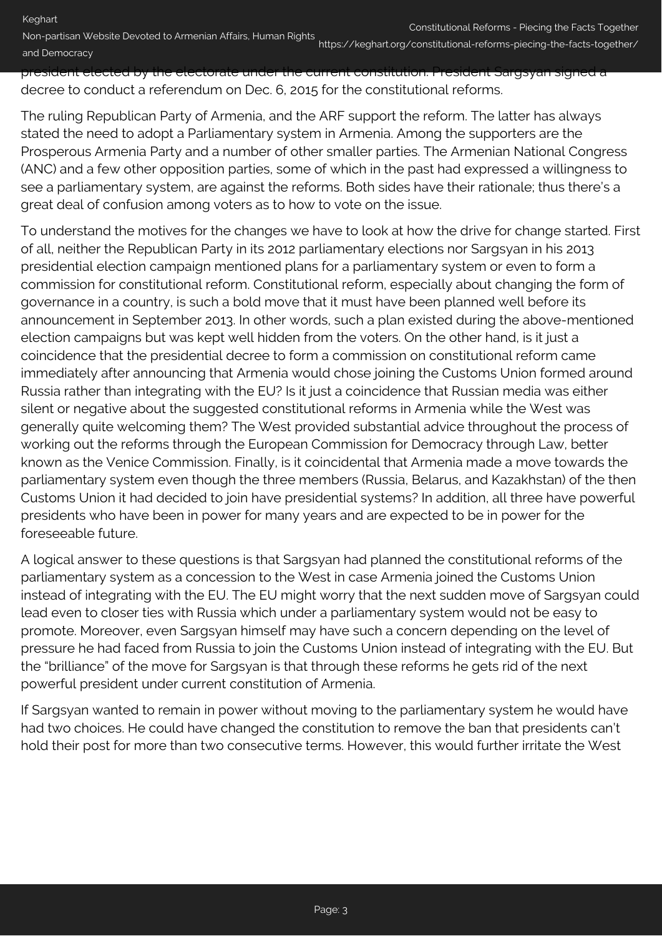president elected by the electorate under the current constitution. President Sargsyan signed a decree to conduct a referendum on Dec. 6, 2015 for the constitutional reforms.

The ruling Republican Party of Armenia, and the ARF support the reform. The latter has always stated the need to adopt a Parliamentary system in Armenia. Among the supporters are the Prosperous Armenia Party and a number of other smaller parties. The Armenian National Congress (ANC) and a few other opposition parties, some of which in the past had expressed a willingness to see a parliamentary system, are against the reforms. Both sides have their rationale; thus there's a great deal of confusion among voters as to how to vote on the issue.

To understand the motives for the changes we have to look at how the drive for change started. First of all, neither the Republican Party in its 2012 parliamentary elections nor Sargsyan in his 2013 presidential election campaign mentioned plans for a parliamentary system or even to form a commission for constitutional reform. Constitutional reform, especially about changing the form of governance in a country, is such a bold move that it must have been planned well before its announcement in September 2013. In other words, such a plan existed during the above-mentioned election campaigns but was kept well hidden from the voters. On the other hand, is it just a coincidence that the presidential decree to form a commission on constitutional reform came immediately after announcing that Armenia would chose joining the Customs Union formed around Russia rather than integrating with the EU? Is it just a coincidence that Russian media was either silent or negative about the suggested constitutional reforms in Armenia while the West was generally quite welcoming them? The West provided substantial advice throughout the process of working out the reforms through the European Commission for Democracy through Law, better known as the Venice Commission. Finally, is it coincidental that Armenia made a move towards the parliamentary system even though the three members (Russia, Belarus, and Kazakhstan) of the then Customs Union it had decided to join have presidential systems? In addition, all three have powerful presidents who have been in power for many years and are expected to be in power for the foreseeable future.

A logical answer to these questions is that Sargsyan had planned the constitutional reforms of the parliamentary system as a concession to the West in case Armenia joined the Customs Union instead of integrating with the EU. The EU might worry that the next sudden move of Sargsyan could lead even to closer ties with Russia which under a parliamentary system would not be easy to promote. Moreover, even Sargsyan himself may have such a concern depending on the level of pressure he had faced from Russia to join the Customs Union instead of integrating with the EU. But the "brilliance" of the move for Sargsyan is that through these reforms he gets rid of the next powerful president under current constitution of Armenia.

If Sargsyan wanted to remain in power without moving to the parliamentary system he would have had two choices. He could have changed the constitution to remove the ban that presidents can't hold their post for more than two consecutive terms. However, this would further irritate the West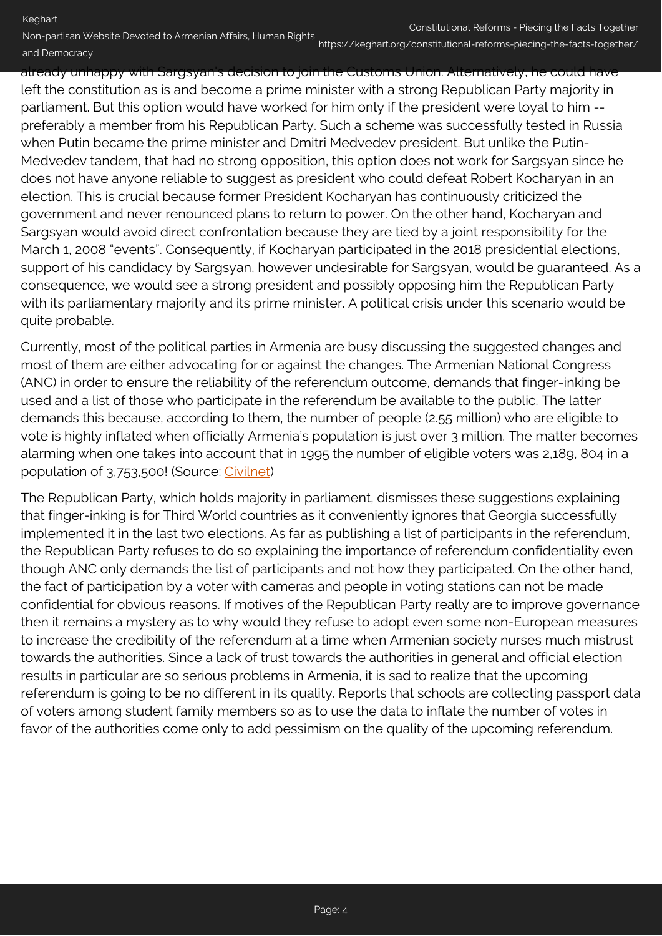Keghart

Non-partisan Website Devoted to Armenian Affairs, Human Rights and Democracy

https://keghart.org/constitutional-reforms-piecing-the-facts-together/

already unhappy with Sargsyan's decision to join the Customs Union. Alternatively, he could have left the constitution as is and become a prime minister with a strong Republican Party majority in parliament. But this option would have worked for him only if the president were loyal to him - preferably a member from his Republican Party. Such a scheme was successfully tested in Russia when Putin became the prime minister and Dmitri Medvedev president. But unlike the Putin-Medvedev tandem, that had no strong opposition, this option does not work for Sargsyan since he does not have anyone reliable to suggest as president who could defeat Robert Kocharyan in an election. This is crucial because former President Kocharyan has continuously criticized the government and never renounced plans to return to power. On the other hand, Kocharyan and Sargsyan would avoid direct confrontation because they are tied by a joint responsibility for the March 1, 2008 "events". Consequently, if Kocharyan participated in the 2018 presidential elections, support of his candidacy by Sargsyan, however undesirable for Sargsyan, would be guaranteed. As a consequence, we would see a strong president and possibly opposing him the Republican Party with its parliamentary majority and its prime minister. A political crisis under this scenario would be quite probable.

Currently, most of the political parties in Armenia are busy discussing the suggested changes and most of them are either advocating for or against the changes. The Armenian National Congress (ANC) in order to ensure the reliability of the referendum outcome, demands that finger-inking be used and a list of those who participate in the referendum be available to the public. The latter demands this because, according to them, the number of people (2.55 million) who are eligible to vote is highly inflated when officially Armenia's population is just over 3 million. The matter becomes alarming when one takes into account that in 1995 the number of eligible voters was 2,189, 804 in a population of 3,753,500! (Source: [Civilnet](http://civilnet.am/2015/11/13/infographic-constitutional-reforms/#.VkurD7_QP-5))

The Republican Party, which holds majority in parliament, dismisses these suggestions explaining that finger-inking is for Third World countries as it conveniently ignores that Georgia successfully implemented it in the last two elections. As far as publishing a list of participants in the referendum, the Republican Party refuses to do so explaining the importance of referendum confidentiality even though ANC only demands the list of participants and not how they participated. On the other hand, the fact of participation by a voter with cameras and people in voting stations can not be made confidential for obvious reasons. If motives of the Republican Party really are to improve governance then it remains a mystery as to why would they refuse to adopt even some non-European measures to increase the credibility of the referendum at a time when Armenian society nurses much mistrust towards the authorities. Since a lack of trust towards the authorities in general and official election results in particular are so serious problems in Armenia, it is sad to realize that the upcoming referendum is going to be no different in its quality. Reports that schools are collecting passport data of voters among student family members so as to use the data to inflate the number of votes in favor of the authorities come only to add pessimism on the quality of the upcoming referendum.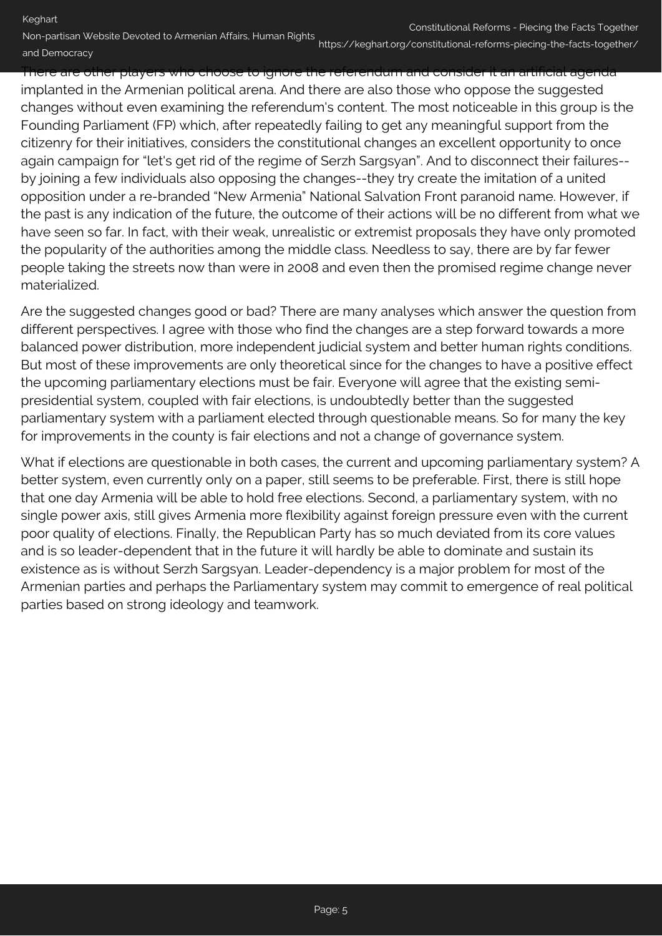Keghart

Non-partisan Website Devoted to Armenian Affairs, Human Rights and Democracy

https://keghart.org/constitutional-reforms-piecing-the-facts-together/

There are other players who choose to ignore the referendum and consider it an artificial agenda implanted in the Armenian political arena. And there are also those who oppose the suggested changes without even examining the referendum's content. The most noticeable in this group is the Founding Parliament (FP) which, after repeatedly failing to get any meaningful support from the citizenry for their initiatives, considers the constitutional changes an excellent opportunity to once again campaign for "let's get rid of the regime of Serzh Sargsyan". And to disconnect their failures- by joining a few individuals also opposing the changes--they try create the imitation of a united opposition under a re-branded "New Armenia" National Salvation Front paranoid name. However, if the past is any indication of the future, the outcome of their actions will be no different from what we have seen so far. In fact, with their weak, unrealistic or extremist proposals they have only promoted the popularity of the authorities among the middle class. Needless to say, there are by far fewer people taking the streets now than were in 2008 and even then the promised regime change never materialized.

Are the suggested changes good or bad? There are many analyses which answer the question from different perspectives. I agree with those who find the changes are a step forward towards a more balanced power distribution, more independent judicial system and better human rights conditions. But most of these improvements are only theoretical since for the changes to have a positive effect the upcoming parliamentary elections must be fair. Everyone will agree that the existing semipresidential system, coupled with fair elections, is undoubtedly better than the suggested parliamentary system with a parliament elected through questionable means. So for many the key for improvements in the county is fair elections and not a change of governance system.

What if elections are questionable in both cases, the current and upcoming parliamentary system? A better system, even currently only on a paper, still seems to be preferable. First, there is still hope that one day Armenia will be able to hold free elections. Second, a parliamentary system, with no single power axis, still gives Armenia more flexibility against foreign pressure even with the current poor quality of elections. Finally, the Republican Party has so much deviated from its core values and is so leader-dependent that in the future it will hardly be able to dominate and sustain its existence as is without Serzh Sargsyan. Leader-dependency is a major problem for most of the Armenian parties and perhaps the Parliamentary system may commit to emergence of real political parties based on strong ideology and teamwork.